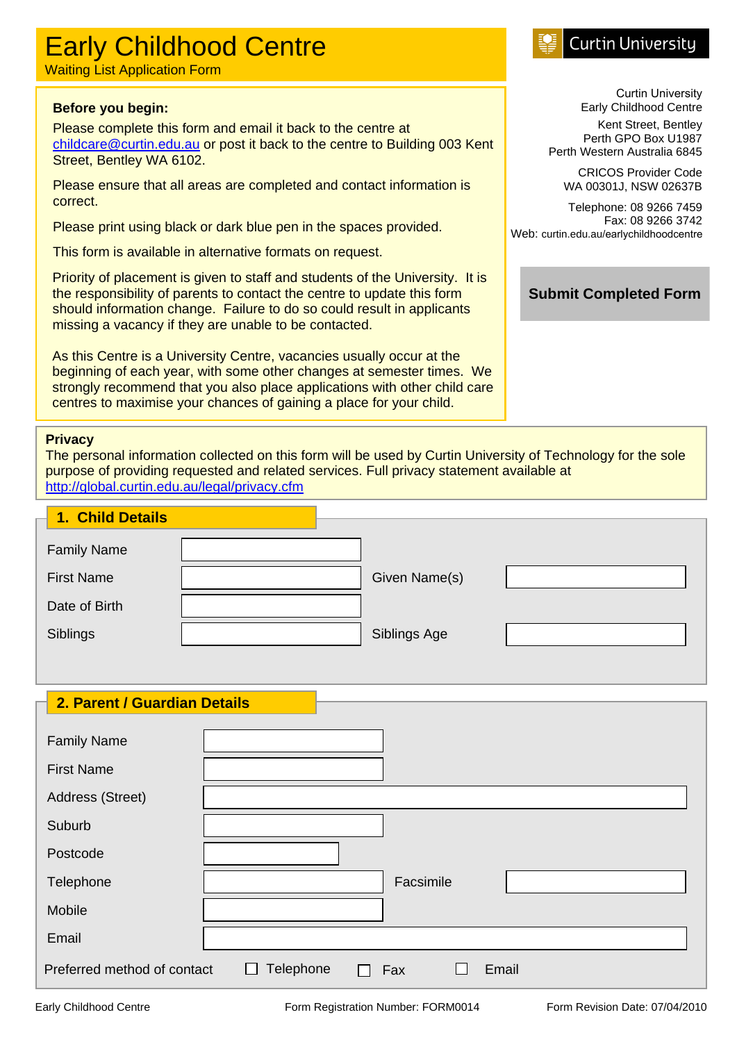# Early Childhood Centre

Waiting List Application Form

#### **Before you begin:**

Please complete this form and email it back to the centre at [childcare@curtin.edu.au](mailto:childcare@curtin.edu.au) or post it back to the centre to Building 003 Kent Street, Bentley WA 6102.

Please ensure that all areas are completed and contact information is correct.

Please print using black or dark blue pen in the spaces provided.

This form is available in alternative formats on request.

Priority of placement is given to staff and students of the University. It is the responsibility of parents to contact the centre to update this form should information change. Failure to do so could result in applicants missing a vacancy if they are unable to be contacted.

As this Centre is a University Centre, vacancies usually occur at the beginning of each year, with some other changes at semester times. We strongly recommend that you also place applications with other child care centres to maximise your chances of gaining a place for your child.

#### **Privacy**

The personal information collected on this form will be used by Curtin University of Technology for the sole purpose of providing requested and related services. Full privacy statement available at <http://global.curtin.edu.au/legal/privacy.cfm>

| <b>1. Child Details</b> |               |  |
|-------------------------|---------------|--|
| <b>Family Name</b>      |               |  |
| <b>First Name</b>       | Given Name(s) |  |
| Date of Birth           |               |  |
| Siblings                | Siblings Age  |  |

#### **2. Parent / Guardian Details**

| <b>Family Name</b>          |                                                |  |
|-----------------------------|------------------------------------------------|--|
| <b>First Name</b>           |                                                |  |
| Address (Street)            |                                                |  |
| Suburb                      |                                                |  |
| Postcode                    |                                                |  |
| Telephone                   | Facsimile                                      |  |
| Mobile                      |                                                |  |
| Email                       |                                                |  |
| Preferred method of contact | Telephone<br>Email<br>Fax<br>L<br>$\mathbf{L}$ |  |

## **Curtin University**

Curtin University Early Childhood Centre

Kent Street, Bentley Perth GPO Box U1987 Perth Western Australia 6845

CRICOS Provider Code WA 00301J, NSW 02637B

Telephone: 08 9266 7459 Fax: 08 9266 3742 Web: curtin.edu.au/earlychildhoodcentre

**Submit Completed Form**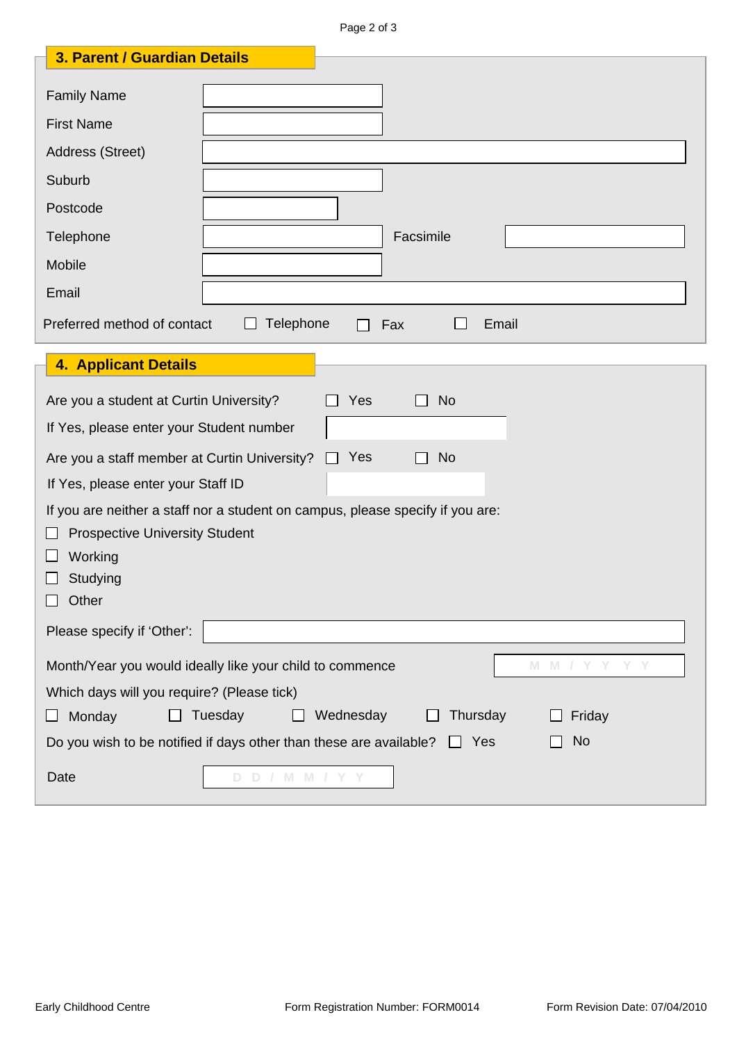Page 2 of 3

| 3. Parent / Guardian Details                                                                                            |  |  |  |
|-------------------------------------------------------------------------------------------------------------------------|--|--|--|
| <b>Family Name</b>                                                                                                      |  |  |  |
| <b>First Name</b>                                                                                                       |  |  |  |
| Address (Street)                                                                                                        |  |  |  |
| Suburb                                                                                                                  |  |  |  |
| Postcode                                                                                                                |  |  |  |
| Facsimile<br>Telephone                                                                                                  |  |  |  |
| Mobile                                                                                                                  |  |  |  |
| Email                                                                                                                   |  |  |  |
| Telephone<br>Preferred method of contact<br>Fax<br>Email<br>$\Box$                                                      |  |  |  |
| <b>4. Applicant Details</b>                                                                                             |  |  |  |
|                                                                                                                         |  |  |  |
| Are you a student at Curtin University?<br>Yes<br><b>No</b>                                                             |  |  |  |
| If Yes, please enter your Student number                                                                                |  |  |  |
| Yes<br><b>No</b><br>Are you a staff member at Curtin University?                                                        |  |  |  |
| If Yes, please enter your Staff ID                                                                                      |  |  |  |
| If you are neither a staff nor a student on campus, please specify if you are:<br><b>Prospective University Student</b> |  |  |  |
| Working                                                                                                                 |  |  |  |
| Studying                                                                                                                |  |  |  |
| Other                                                                                                                   |  |  |  |
| Please specify if 'Other':                                                                                              |  |  |  |
| Month/Year you would ideally like your child to commence<br>M.<br>- M                                                   |  |  |  |
| Which days will you require? (Please tick)                                                                              |  |  |  |
| Tuesday<br>Wednesday<br>Thursday<br>Monday<br>Friday<br>ப                                                               |  |  |  |
| Do you wish to be notified if days other than these are available?<br><b>No</b><br>Yes<br>$\perp$                       |  |  |  |
| Date<br>D D / M M / Y Y                                                                                                 |  |  |  |